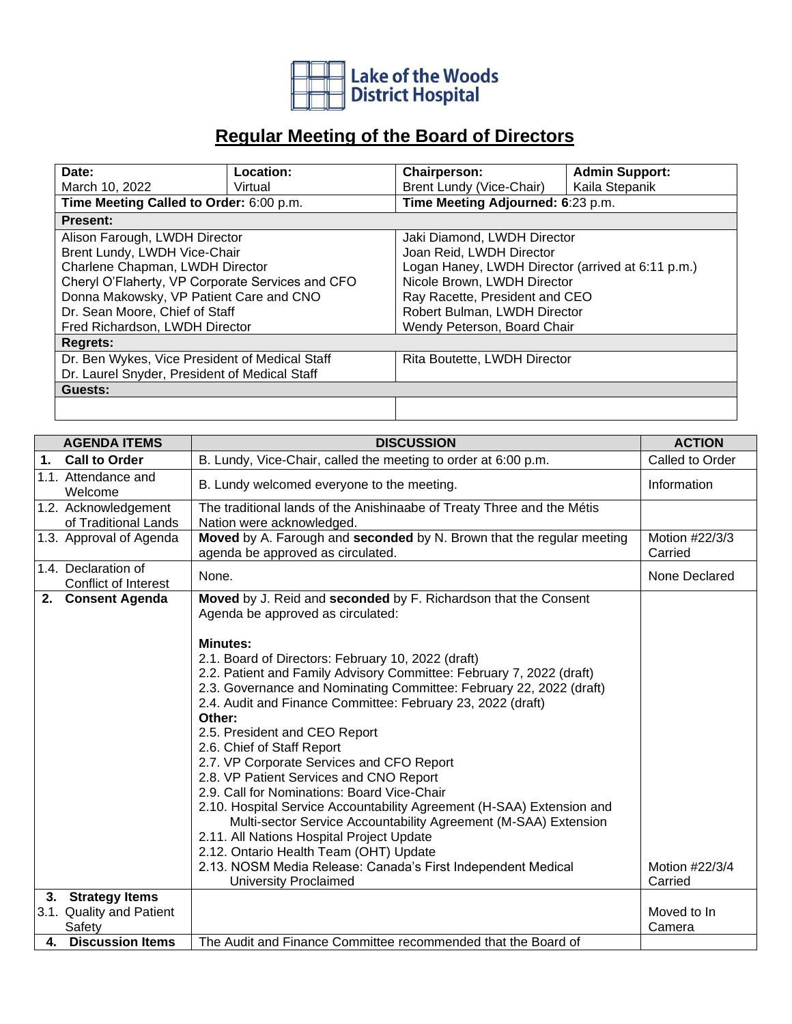

## **Regular Meeting of the Board of Directors**

| Date:                                            | Location: | Chairperson:                                      | <b>Admin Support:</b>          |  |  |
|--------------------------------------------------|-----------|---------------------------------------------------|--------------------------------|--|--|
| March 10, 2022                                   | Virtual   | Brent Lundy (Vice-Chair)                          | Kaila Stepanik                 |  |  |
| Time Meeting Called to Order: 6:00 p.m.          |           | Time Meeting Adjourned: 6:23 p.m.                 |                                |  |  |
| <b>Present:</b>                                  |           |                                                   |                                |  |  |
| Alison Farough, LWDH Director                    |           | Jaki Diamond, LWDH Director                       |                                |  |  |
| Brent Lundy, LWDH Vice-Chair                     |           | Joan Reid, LWDH Director                          |                                |  |  |
| Charlene Chapman, LWDH Director                  |           | Logan Haney, LWDH Director (arrived at 6:11 p.m.) |                                |  |  |
| Cheryl O'Flaherty, VP Corporate Services and CFO |           | Nicole Brown, LWDH Director                       |                                |  |  |
| Donna Makowsky, VP Patient Care and CNO          |           |                                                   | Ray Racette, President and CEO |  |  |
| Dr. Sean Moore, Chief of Staff                   |           | Robert Bulman, LWDH Director                      |                                |  |  |
| Fred Richardson, LWDH Director                   |           | Wendy Peterson, Board Chair                       |                                |  |  |
| <b>Regrets:</b>                                  |           |                                                   |                                |  |  |
| Dr. Ben Wykes, Vice President of Medical Staff   |           | Rita Boutette, LWDH Director                      |                                |  |  |
| Dr. Laurel Snyder, President of Medical Staff    |           |                                                   |                                |  |  |
| Guests:                                          |           |                                                   |                                |  |  |
|                                                  |           |                                                   |                                |  |  |

|    | <b>AGENDA ITEMS</b>                                     | <b>DISCUSSION</b>                                                                                                                                                                                                                                                                                                                                                                                                                                                                                                                                                                                                                                                                                                                                                                                                                      | <b>ACTION</b>             |
|----|---------------------------------------------------------|----------------------------------------------------------------------------------------------------------------------------------------------------------------------------------------------------------------------------------------------------------------------------------------------------------------------------------------------------------------------------------------------------------------------------------------------------------------------------------------------------------------------------------------------------------------------------------------------------------------------------------------------------------------------------------------------------------------------------------------------------------------------------------------------------------------------------------------|---------------------------|
| 1. | <b>Call to Order</b>                                    | B. Lundy, Vice-Chair, called the meeting to order at 6:00 p.m.                                                                                                                                                                                                                                                                                                                                                                                                                                                                                                                                                                                                                                                                                                                                                                         | Called to Order           |
|    | 1.1. Attendance and<br>Welcome                          | B. Lundy welcomed everyone to the meeting.                                                                                                                                                                                                                                                                                                                                                                                                                                                                                                                                                                                                                                                                                                                                                                                             | Information               |
|    | 1.2. Acknowledgement<br>of Traditional Lands            | The traditional lands of the Anishinaabe of Treaty Three and the Métis<br>Nation were acknowledged.                                                                                                                                                                                                                                                                                                                                                                                                                                                                                                                                                                                                                                                                                                                                    |                           |
|    | 1.3. Approval of Agenda                                 | Moved by A. Farough and seconded by N. Brown that the regular meeting<br>agenda be approved as circulated.                                                                                                                                                                                                                                                                                                                                                                                                                                                                                                                                                                                                                                                                                                                             | Motion #22/3/3<br>Carried |
|    | 1.4. Declaration of<br><b>Conflict of Interest</b>      | None.                                                                                                                                                                                                                                                                                                                                                                                                                                                                                                                                                                                                                                                                                                                                                                                                                                  | None Declared             |
| 2. | <b>Consent Agenda</b>                                   | Moved by J. Reid and seconded by F. Richardson that the Consent<br>Agenda be approved as circulated:                                                                                                                                                                                                                                                                                                                                                                                                                                                                                                                                                                                                                                                                                                                                   |                           |
|    |                                                         | <b>Minutes:</b><br>2.1. Board of Directors: February 10, 2022 (draft)<br>2.2. Patient and Family Advisory Committee: February 7, 2022 (draft)<br>2.3. Governance and Nominating Committee: February 22, 2022 (draft)<br>2.4. Audit and Finance Committee: February 23, 2022 (draft)<br>Other:<br>2.5. President and CEO Report<br>2.6. Chief of Staff Report<br>2.7. VP Corporate Services and CFO Report<br>2.8. VP Patient Services and CNO Report<br>2.9. Call for Nominations: Board Vice-Chair<br>2.10. Hospital Service Accountability Agreement (H-SAA) Extension and<br>Multi-sector Service Accountability Agreement (M-SAA) Extension<br>2.11. All Nations Hospital Project Update<br>2.12. Ontario Health Team (OHT) Update<br>2.13. NOSM Media Release: Canada's First Independent Medical<br><b>University Proclaimed</b> | Motion #22/3/4<br>Carried |
|    | 3. Strategy Items<br>3.1. Quality and Patient<br>Safety |                                                                                                                                                                                                                                                                                                                                                                                                                                                                                                                                                                                                                                                                                                                                                                                                                                        | Moved to In<br>Camera     |
|    | 4. Discussion Items                                     | The Audit and Finance Committee recommended that the Board of                                                                                                                                                                                                                                                                                                                                                                                                                                                                                                                                                                                                                                                                                                                                                                          |                           |